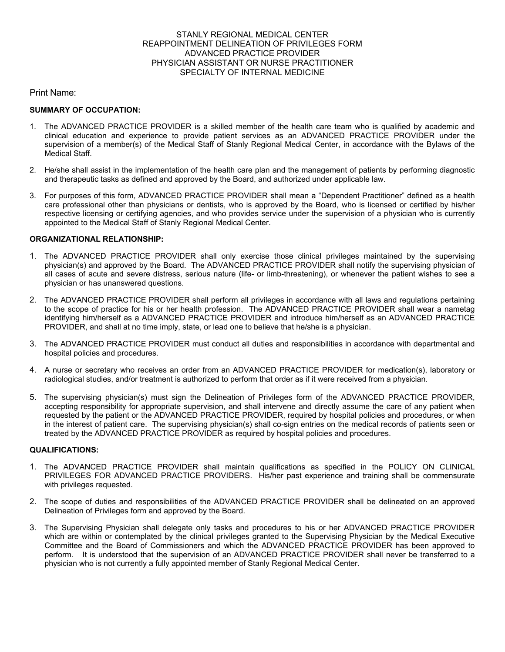### STANLY REGIONAL MEDICAL CENTER REAPPOINTMENT DELINEATION OF PRIVILEGES FORM ADVANCED PRACTICE PROVIDER PHYSICIAN ASSISTANT OR NURSE PRACTITIONER SPECIALTY OF INTERNAL MEDICINE

Print Name:

### **SUMMARY OF OCCUPATION:**

- 1. The ADVANCED PRACTICE PROVIDER is a skilled member of the health care team who is qualified by academic and clinical education and experience to provide patient services as an ADVANCED PRACTICE PROVIDER under the supervision of a member(s) of the Medical Staff of Stanly Regional Medical Center, in accordance with the Bylaws of the Medical Staff.
- 2. He/she shall assist in the implementation of the health care plan and the management of patients by performing diagnostic and therapeutic tasks as defined and approved by the Board, and authorized under applicable law.
- 3. For purposes of this form, ADVANCED PRACTICE PROVIDER shall mean a "Dependent Practitioner" defined as a health care professional other than physicians or dentists, who is approved by the Board, who is licensed or certified by his/her respective licensing or certifying agencies, and who provides service under the supervision of a physician who is currently appointed to the Medical Staff of Stanly Regional Medical Center.

## **ORGANIZATIONAL RELATIONSHIP:**

- 1. The ADVANCED PRACTICE PROVIDER shall only exercise those clinical privileges maintained by the supervising physician(s) and approved by the Board. The ADVANCED PRACTICE PROVIDER shall notify the supervising physician of all cases of acute and severe distress, serious nature (life- or limb-threatening), or whenever the patient wishes to see a physician or has unanswered questions.
- 2. The ADVANCED PRACTICE PROVIDER shall perform all privileges in accordance with all laws and regulations pertaining to the scope of practice for his or her health profession. The ADVANCED PRACTICE PROVIDER shall wear a nametag identifying him/herself as a ADVANCED PRACTICE PROVIDER and introduce him/herself as an ADVANCED PRACTICE PROVIDER, and shall at no time imply, state, or lead one to believe that he/she is a physician.
- 3. The ADVANCED PRACTICE PROVIDER must conduct all duties and responsibilities in accordance with departmental and hospital policies and procedures.
- 4. A nurse or secretary who receives an order from an ADVANCED PRACTICE PROVIDER for medication(s), laboratory or radiological studies, and/or treatment is authorized to perform that order as if it were received from a physician.
- 5. The supervising physician(s) must sign the Delineation of Privileges form of the ADVANCED PRACTICE PROVIDER, accepting responsibility for appropriate supervision, and shall intervene and directly assume the care of any patient when requested by the patient or the ADVANCED PRACTICE PROVIDER, required by hospital policies and procedures, or when in the interest of patient care. The supervising physician(s) shall co-sign entries on the medical records of patients seen or treated by the ADVANCED PRACTICE PROVIDER as required by hospital policies and procedures.

### **QUALIFICATIONS:**

- 1. The ADVANCED PRACTICE PROVIDER shall maintain qualifications as specified in the POLICY ON CLINICAL PRIVILEGES FOR ADVANCED PRACTICE PROVIDERS. His/her past experience and training shall be commensurate with privileges requested.
- 2. The scope of duties and responsibilities of the ADVANCED PRACTICE PROVIDER shall be delineated on an approved Delineation of Privileges form and approved by the Board.
- 3. The Supervising Physician shall delegate only tasks and procedures to his or her ADVANCED PRACTICE PROVIDER which are within or contemplated by the clinical privileges granted to the Supervising Physician by the Medical Executive Committee and the Board of Commissioners and which the ADVANCED PRACTICE PROVIDER has been approved to perform. It is understood that the supervision of an ADVANCED PRACTICE PROVIDER shall never be transferred to a physician who is not currently a fully appointed member of Stanly Regional Medical Center.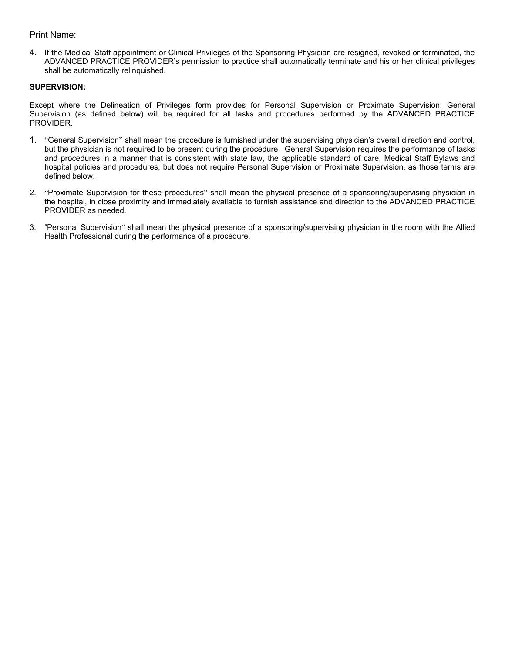## Print Name:

4. If the Medical Staff appointment or Clinical Privileges of the Sponsoring Physician are resigned, revoked or terminated, the ADVANCED PRACTICE PROVIDER's permission to practice shall automatically terminate and his or her clinical privileges shall be automatically relinquished.

## **SUPERVISION:**

Except where the Delineation of Privileges form provides for Personal Supervision or Proximate Supervision, General Supervision (as defined below) will be required for all tasks and procedures performed by the ADVANCED PRACTICE PROVIDER.

- 1. "General Supervision" shall mean the procedure is furnished under the supervising physician's overall direction and control, but the physician is not required to be present during the procedure. General Supervision requires the performance of tasks and procedures in a manner that is consistent with state law, the applicable standard of care, Medical Staff Bylaws and hospital policies and procedures, but does not require Personal Supervision or Proximate Supervision, as those terms are defined below.
- 2. "Proximate Supervision for these procedures" shall mean the physical presence of a sponsoring/supervising physician in the hospital, in close proximity and immediately available to furnish assistance and direction to the ADVANCED PRACTICE PROVIDER as needed.
- 3. "Personal Supervision" shall mean the physical presence of a sponsoring/supervising physician in the room with the Allied Health Professional during the performance of a procedure.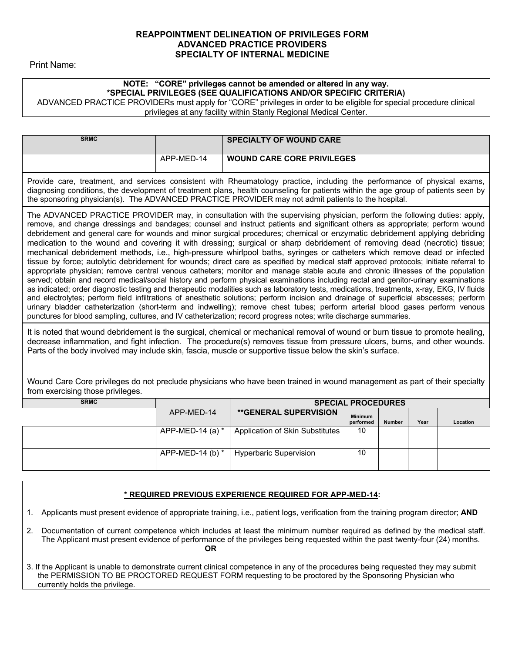## **REAPPOINTMENT DELINEATION OF PRIVILEGES FORM ADVANCED PRACTICE PROVIDERS SPECIALTY OF INTERNAL MEDICINE**

Print Name:

# **NOTE: "CORE" privileges cannot be amended or altered in any way. \*SPECIAL PRIVILEGES (SEE QUALIFICATIONS AND/OR SPECIFIC CRITERIA)**

ADVANCED PRACTICE PROVIDERs must apply for "CORE" privileges in order to be eligible for special procedure clinical privileges at any facility within Stanly Regional Medical Center.

| <b>SRMC</b>                                                                                                                                                                                                                                                                                                                                                                                                                                                                                                                                                                                                                                                                                                                                                                                                                                                                                                                                                                                                                                                                                                                                                                                                                                                                                                                                                                                                                                                                                                                                                                                                       |            | <b>SPECIALTY OF WOUND CARE</b>                                                                                                                                                                                                                                                                                                                                             |  |  |  |
|-------------------------------------------------------------------------------------------------------------------------------------------------------------------------------------------------------------------------------------------------------------------------------------------------------------------------------------------------------------------------------------------------------------------------------------------------------------------------------------------------------------------------------------------------------------------------------------------------------------------------------------------------------------------------------------------------------------------------------------------------------------------------------------------------------------------------------------------------------------------------------------------------------------------------------------------------------------------------------------------------------------------------------------------------------------------------------------------------------------------------------------------------------------------------------------------------------------------------------------------------------------------------------------------------------------------------------------------------------------------------------------------------------------------------------------------------------------------------------------------------------------------------------------------------------------------------------------------------------------------|------------|----------------------------------------------------------------------------------------------------------------------------------------------------------------------------------------------------------------------------------------------------------------------------------------------------------------------------------------------------------------------------|--|--|--|
|                                                                                                                                                                                                                                                                                                                                                                                                                                                                                                                                                                                                                                                                                                                                                                                                                                                                                                                                                                                                                                                                                                                                                                                                                                                                                                                                                                                                                                                                                                                                                                                                                   | APP-MED-14 | <b>WOUND CARE CORE PRIVILEGES</b>                                                                                                                                                                                                                                                                                                                                          |  |  |  |
| Provide care, treatment, and services consistent with Rheumatology practice, including the performance of physical exams,<br>diagnosing conditions, the development of treatment plans, health counseling for patients within the age group of patients seen by<br>the sponsoring physician(s). The ADVANCED PRACTICE PROVIDER may not admit patients to the hospital.                                                                                                                                                                                                                                                                                                                                                                                                                                                                                                                                                                                                                                                                                                                                                                                                                                                                                                                                                                                                                                                                                                                                                                                                                                            |            |                                                                                                                                                                                                                                                                                                                                                                            |  |  |  |
| The ADVANCED PRACTICE PROVIDER may, in consultation with the supervising physician, perform the following duties: apply,<br>remove, and change dressings and bandages; counsel and instruct patients and significant others as appropriate; perform wound<br>debridement and general care for wounds and minor surgical procedures; chemical or enzymatic debridement applying debriding<br>medication to the wound and covering it with dressing; surgical or sharp debridement of removing dead (necrotic) tissue;<br>mechanical debridement methods, i.e., high-pressure whirlpool baths, syringes or catheters which remove dead or infected<br>tissue by force; autolytic debridement for wounds; direct care as specified by medical staff approved protocols; initiate referral to<br>appropriate physician; remove central venous catheters; monitor and manage stable acute and chronic illnesses of the population<br>served; obtain and record medical/social history and perform physical examinations including rectal and genitor-urinary examinations<br>as indicated; order diagnostic testing and therapeutic modalities such as laboratory tests, medications, treatments, x-ray, EKG, IV fluids<br>and electrolytes; perform field infiltrations of anesthetic solutions; perform incision and drainage of superficial abscesses; perform<br>urinary bladder catheterization (short-term and indwelling); remove chest tubes; perform arterial blood gases perform venous<br>punctures for blood sampling, cultures, and IV catheterization; record progress notes; write discharge summaries. |            |                                                                                                                                                                                                                                                                                                                                                                            |  |  |  |
|                                                                                                                                                                                                                                                                                                                                                                                                                                                                                                                                                                                                                                                                                                                                                                                                                                                                                                                                                                                                                                                                                                                                                                                                                                                                                                                                                                                                                                                                                                                                                                                                                   |            | It is noted that wound debridement is the surgical, chemical or mechanical removal of wound or burn tissue to promote healing,<br>decrease inflammation, and fight infection. The procedure(s) removes tissue from pressure ulcers, burns, and other wounds.<br>Parts of the body involved may include skin, fascia, muscle or supportive tissue below the skin's surface. |  |  |  |
|                                                                                                                                                                                                                                                                                                                                                                                                                                                                                                                                                                                                                                                                                                                                                                                                                                                                                                                                                                                                                                                                                                                                                                                                                                                                                                                                                                                                                                                                                                                                                                                                                   |            | Wound Care Core privileges do not preclude physicians who have been trained in wound management as part of their specialty                                                                                                                                                                                                                                                 |  |  |  |

Care Core privileges do not preclude physicians who have been trained in wound management as part of their speci from exercising those privileges.

| <b>SRMC</b> |                    | <b>SPECIAL PROCEDURES</b>       |                             |        |      |          |
|-------------|--------------------|---------------------------------|-----------------------------|--------|------|----------|
|             | APP-MED-14         | <b>**GENERAL SUPERVISION</b>    | <b>Minimum</b><br>performed | Number | Year | Location |
|             | APP-MED-14 (a) $*$ | Application of Skin Substitutes | 10                          |        |      |          |
|             | APP-MED-14 (b) $*$ | Hyperbaric Supervision          | 10                          |        |      |          |

## **\* REQUIRED PREVIOUS EXPERIENCE REQUIRED FOR APP-MED-14:**

1. Applicants must present evidence of appropriate training, i.e., patient logs, verification from the training program director; **AND**

- 2. Documentation of current competence which includes at least the minimum number required as defined by the medical staff. The Applicant must present evidence of performance of the privileges being requested within the past twenty-four (24) months. **OR**
- 3. If the Applicant is unable to demonstrate current clinical competence in any of the procedures being requested they may submit the PERMISSION TO BE PROCTORED REQUEST FORM requesting to be proctored by the Sponsoring Physician who currently holds the privilege.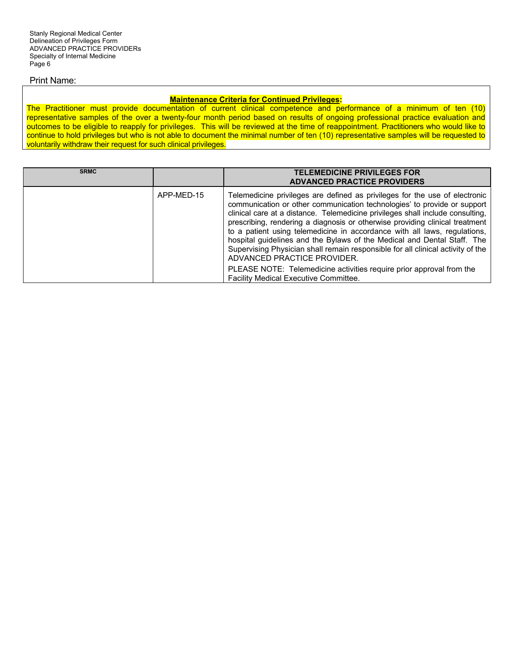### Print Name:

### **Maintenance Criteria for Continued Privileges:**

The Practitioner must provide documentation of current clinical competence and performance of a minimum of ten (10) representative samples of the over a twenty-four month period based on results of ongoing professional practice evaluation and outcomes to be eligible to reapply for privileges. This will be reviewed at the time of reappointment. Practitioners who would like to continue to hold privileges but who is not able to document the minimal number of ten (10) representative samples will be requested to voluntarily withdraw their request for such clinical privileges.

| <b>SRMC</b> |            | <b>TELEMEDICINE PRIVILEGES FOR</b><br><b>ADVANCED PRACTICE PROVIDERS</b>                                                                                                                                                                                                                                                                                                                                                                                                                                                                                                                                                                                                                                                    |
|-------------|------------|-----------------------------------------------------------------------------------------------------------------------------------------------------------------------------------------------------------------------------------------------------------------------------------------------------------------------------------------------------------------------------------------------------------------------------------------------------------------------------------------------------------------------------------------------------------------------------------------------------------------------------------------------------------------------------------------------------------------------------|
|             | APP-MED-15 | Telemedicine privileges are defined as privileges for the use of electronic<br>communication or other communication technologies' to provide or support<br>clinical care at a distance. Telemedicine privileges shall include consulting,<br>prescribing, rendering a diagnosis or otherwise providing clinical treatment<br>to a patient using telemedicine in accordance with all laws, regulations,<br>hospital guidelines and the Bylaws of the Medical and Dental Staff. The<br>Supervising Physician shall remain responsible for all clinical activity of the<br>ADVANCED PRACTICE PROVIDER.<br>PLEASE NOTE: Telemedicine activities require prior approval from the<br><b>Facility Medical Executive Committee.</b> |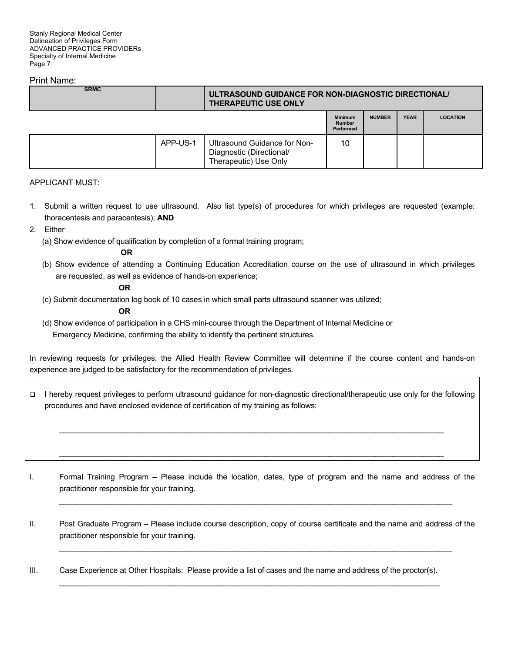### Print Name:

| <b>SRMC</b> |          | ULTRASOUND GUIDANCE FOR NON-DIAGNOSTIC DIRECTIONAL/<br><b>THERAPEUTIC USE ONLY</b> |                                                     |               |             |                 |
|-------------|----------|------------------------------------------------------------------------------------|-----------------------------------------------------|---------------|-------------|-----------------|
|             |          |                                                                                    | <b>Minimum</b><br><b>Number</b><br><b>Performed</b> | <b>NUMBER</b> | <b>YEAR</b> | <b>LOCATION</b> |
|             | APP-US-1 | Ultrasound Guidance for Non-<br>Diagnostic (Directional/<br>Therapeutic) Use Only  | 10                                                  |               |             |                 |

### APPLICANT MUST:

- 1. Submit a written request to use ultrasound. Also list type(s) of procedures for which privileges are requested (example: thoracentesis and paracentesis); **AND**
- 2. Either
	- (a) Show evidence of qualification by completion of a formal training program;

### **OR**

 (b) Show evidence of attending a Continuing Education Accreditation course on the use of ultrasound in which privileges are requested, as well as evidence of hands-on experience;

### **OR**

(c) Submit documentation log book of 10 cases in which small parts ultrasound scanner was utilized;

### **OR**

 (d) Show evidence of participation in a CHS mini-course through the Department of Internal Medicine or Emergency Medicine, confirming the ability to identify the pertinent structures.

In reviewing requests for privileges, the Allied Health Review Committee will determine if the course content and hands-on experience are judged to be satisfactory for the recommendation of privileges.

 I hereby request privileges to perform ultrasound guidance for non-diagnostic directional/therapeutic use only for the following procedures and have enclosed evidence of certification of my training as follows:

 $\mathcal{L}_\mathcal{L} = \mathcal{L}_\mathcal{L} = \mathcal{L}_\mathcal{L} = \mathcal{L}_\mathcal{L} = \mathcal{L}_\mathcal{L} = \mathcal{L}_\mathcal{L} = \mathcal{L}_\mathcal{L} = \mathcal{L}_\mathcal{L} = \mathcal{L}_\mathcal{L} = \mathcal{L}_\mathcal{L} = \mathcal{L}_\mathcal{L} = \mathcal{L}_\mathcal{L} = \mathcal{L}_\mathcal{L} = \mathcal{L}_\mathcal{L} = \mathcal{L}_\mathcal{L} = \mathcal{L}_\mathcal{L} = \mathcal{L}_\mathcal{L}$ 

 $\mathcal{L}_\mathcal{L} = \mathcal{L}_\mathcal{L} = \mathcal{L}_\mathcal{L} = \mathcal{L}_\mathcal{L} = \mathcal{L}_\mathcal{L} = \mathcal{L}_\mathcal{L} = \mathcal{L}_\mathcal{L} = \mathcal{L}_\mathcal{L} = \mathcal{L}_\mathcal{L} = \mathcal{L}_\mathcal{L} = \mathcal{L}_\mathcal{L} = \mathcal{L}_\mathcal{L} = \mathcal{L}_\mathcal{L} = \mathcal{L}_\mathcal{L} = \mathcal{L}_\mathcal{L} = \mathcal{L}_\mathcal{L} = \mathcal{L}_\mathcal{L}$ 

I. Formal Training Program – Please include the location, dates, type of program and the name and address of the practitioner responsible for your training.

 $\mathcal{L}_\mathcal{L} = \{ \mathcal{L}_\mathcal{L} = \{ \mathcal{L}_\mathcal{L} = \{ \mathcal{L}_\mathcal{L} = \{ \mathcal{L}_\mathcal{L} = \{ \mathcal{L}_\mathcal{L} = \{ \mathcal{L}_\mathcal{L} = \{ \mathcal{L}_\mathcal{L} = \{ \mathcal{L}_\mathcal{L} = \{ \mathcal{L}_\mathcal{L} = \{ \mathcal{L}_\mathcal{L} = \{ \mathcal{L}_\mathcal{L} = \{ \mathcal{L}_\mathcal{L} = \{ \mathcal{L}_\mathcal{L} = \{ \mathcal{L}_\mathcal{$ 

II. Post Graduate Program – Please include course description, copy of course certificate and the name and address of the practitioner responsible for your training.

 $\mathcal{L}_\mathcal{L} = \{ \mathcal{L}_\mathcal{L} = \{ \mathcal{L}_\mathcal{L} = \{ \mathcal{L}_\mathcal{L} = \{ \mathcal{L}_\mathcal{L} = \{ \mathcal{L}_\mathcal{L} = \{ \mathcal{L}_\mathcal{L} = \{ \mathcal{L}_\mathcal{L} = \{ \mathcal{L}_\mathcal{L} = \{ \mathcal{L}_\mathcal{L} = \{ \mathcal{L}_\mathcal{L} = \{ \mathcal{L}_\mathcal{L} = \{ \mathcal{L}_\mathcal{L} = \{ \mathcal{L}_\mathcal{L} = \{ \mathcal{L}_\mathcal{$ 

III. Case Experience at Other Hospitals: Please provide a list of cases and the name and address of the proctor(s).  $\mathcal{L}_\mathcal{L} = \mathcal{L}_\mathcal{L} = \mathcal{L}_\mathcal{L} = \mathcal{L}_\mathcal{L} = \mathcal{L}_\mathcal{L} = \mathcal{L}_\mathcal{L} = \mathcal{L}_\mathcal{L} = \mathcal{L}_\mathcal{L} = \mathcal{L}_\mathcal{L} = \mathcal{L}_\mathcal{L} = \mathcal{L}_\mathcal{L} = \mathcal{L}_\mathcal{L} = \mathcal{L}_\mathcal{L} = \mathcal{L}_\mathcal{L} = \mathcal{L}_\mathcal{L} = \mathcal{L}_\mathcal{L} = \mathcal{L}_\mathcal{L}$